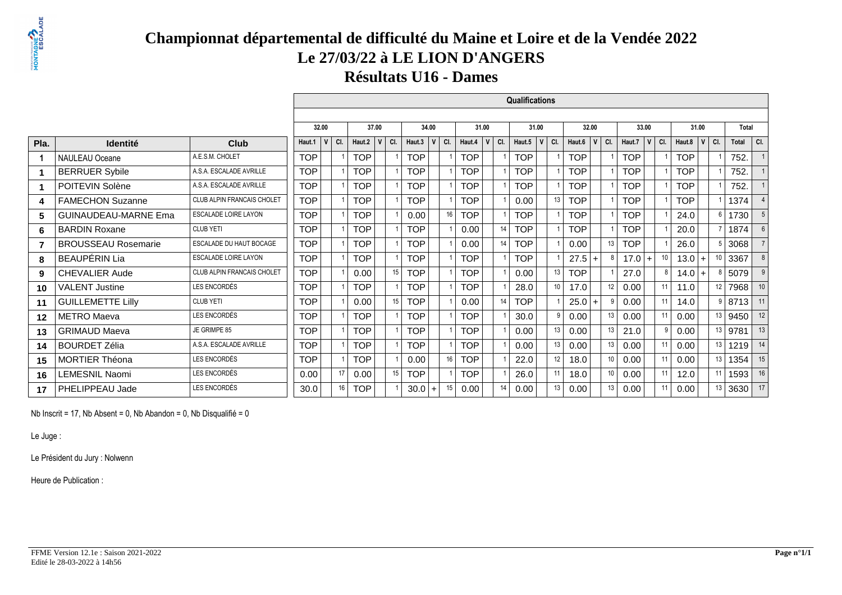# **PRONTAGNE**

## **Championnat départemental de difficulté du Maine et Loire et de la Vendée 2022Le 27/03/22 à LE LION D'ANGERS**

**Résultats U16 - Dames**

|      |                             |                                   |            |     |            |         |            |       |     |            |              |     | Qualifications |                    |                  |       |     |            |     |                 |            |              |         |       |                  |
|------|-----------------------------|-----------------------------------|------------|-----|------------|---------|------------|-------|-----|------------|--------------|-----|----------------|--------------------|------------------|-------|-----|------------|-----|-----------------|------------|--------------|---------|-------|------------------|
|      |                             |                                   |            |     |            |         |            |       |     |            |              |     |                |                    |                  |       |     |            |     |                 |            |              |         |       |                  |
|      |                             |                                   | 32.00      |     | 37.00      |         |            | 34.00 |     | 31.00      |              |     | 31.00          |                    |                  | 32.00 |     | 33.00      |     |                 | 31.00      |              |         | Total |                  |
| Pla. | <b>Identité</b>             | Club                              | Haut.1     | CI. | Haut.2     | $V$ CI. | Haut.3     |       | CI. | Haut.4     | $\mathsf{V}$ | CI. | Haut.5         | CI.<br>$\mathbf v$ | Haut.6           | V     | CI. | Haut.7     | V   | CI.             | Haut.8     | $\mathsf{V}$ | $ $ CI. | Total | CI.              |
|      | <b>NAULEAU Oceane</b>       | A.E.S.M. CHOLET                   | <b>TOP</b> |     | <b>TOP</b> |         | <b>TOP</b> |       |     | <b>TOP</b> |              |     | <b>TOP</b>     |                    | <b>TOP</b>       |       |     | <b>TOP</b> |     |                 | <b>TOP</b> |              |         | 752.  |                  |
|      | <b>BERRUER Sybile</b>       | A.S.A. ESCALADE AVRILLE           | <b>TOP</b> |     | <b>TOP</b> |         | <b>TOP</b> |       |     | <b>TOP</b> |              |     | <b>TOP</b>     |                    | <b>TOP</b>       |       |     | <b>TOP</b> |     |                 | <b>TOP</b> |              |         | 752.  |                  |
| 1    | POITEVIN Solène             | A.S.A. ESCALADE AVRILLE           | <b>TOP</b> |     | <b>TOP</b> |         | <b>TOP</b> |       |     | <b>TOP</b> |              |     | <b>TOP</b>     |                    | <b>TOP</b>       |       |     | <b>TOP</b> |     |                 | <b>TOP</b> |              |         | 752.  |                  |
| 4    | <b>FAMECHON Suzanne</b>     | CLUB ALPIN FRANCAIS CHOLET        | <b>TOP</b> |     | <b>TOP</b> |         | <b>TOP</b> |       |     | <b>TOP</b> |              |     | 0.00           |                    | 13<br><b>TOP</b> |       |     | <b>TOP</b> |     |                 | <b>TOP</b> |              |         | 1374  |                  |
| 5    | <b>GUINAUDEAU-MARNE Ema</b> | <b>ESCALADE LOIRE LAYON</b>       | <b>TOP</b> |     | <b>TOP</b> |         | 0.00       |       | 16  | <b>TOP</b> |              |     | <b>TOP</b>     |                    | <b>TOP</b>       |       |     | <b>TOP</b> |     |                 | 24.0       |              |         | 1730  |                  |
| 6    | <b>BARDIN Roxane</b>        | <b>CLUB YETI</b>                  | <b>TOP</b> |     | <b>TOP</b> |         | <b>TOP</b> |       |     | 0.00       |              | 14  | <b>TOP</b>     |                    | <b>TOP</b>       |       |     | <b>TOP</b> |     |                 | 20.0       |              |         | 1874  | $6 \overline{6}$ |
| 7    | <b>BROUSSEAU Rosemarie</b>  | <b>ESCALADE DU HAUT BOCAGE</b>    | <b>TOP</b> |     | <b>TOP</b> |         | <b>TOP</b> |       |     | 0.00       |              | 14  | <b>TOP</b>     |                    | 0.00             |       | 13  | <b>TOP</b> |     |                 | 26.0       |              |         | 3068  |                  |
| 8    | <b>BEAUPÉRIN Lia</b>        | <b>ESCALADE LOIRE LAYON</b>       | <b>TOP</b> |     | <b>TOP</b> |         | <b>TOP</b> |       |     | <b>TOP</b> |              |     | <b>TOP</b>     |                    | 27.5             | $+$   |     | 17.0       | $+$ | 10 <sup>°</sup> | 13.0       | $\ddot{}$    |         | 3367  | 8                |
| 9    | <b>CHEVALIER Aude</b>       | <b>CLUB ALPIN FRANCAIS CHOLET</b> | <b>TOP</b> |     | 0.00       | 15      | TOP        |       |     | <b>TOP</b> |              |     | 0.00           |                    | 13<br><b>TOP</b> |       |     | 27.0       |     | 8               | 14.0       | $\ddot{}$    |         | 5079  | 9                |
| 10   | <b>VALENT Justine</b>       | LES ENCORDÉS                      | <b>TOP</b> |     | <b>TOP</b> |         | <b>TOP</b> |       |     | <b>TOP</b> |              |     | 28.0           |                    | 10<br>17.0       |       | 12  | 0.00       |     | 11              | 11.0       |              | 12      | 7968  | 10               |
| 11   | <b>GUILLEMETTE Lilly</b>    | <b>CLUB YETI</b>                  | <b>TOP</b> |     | 0.00       | 15      | <b>TOP</b> |       |     | 0.00       |              |     | <b>TOP</b>     |                    | 25.0             |       |     | 0.00       |     | 11 <sup>1</sup> | 14.0       |              | q       | 8713  | 11               |
| 12   | <b>METRO</b> Maeva          | LES ENCORDÉS                      | <b>TOP</b> |     | <b>TOP</b> |         | <b>TOP</b> |       |     | <b>TOP</b> |              |     | 30.0           |                    | 0.00<br>9        |       | 13  | 0.00       |     | 11 <sup>1</sup> | 0.00       |              | 13      | 9450  | 12               |
| 13   | <b>GRIMAUD Maeva</b>        | JE GRIMPE 85                      | <b>TOP</b> |     | <b>TOP</b> |         | TOP        |       |     | <b>TOP</b> |              |     | 0.00           |                    | 13<br>0.00       |       | 13  | 21.0       |     | 9               | 0.00       |              | 13      | 9781  | 13               |
| 14   | <b>BOURDET Zélia</b>        | A.S.A. ESCALADE AVRILLE           | <b>TOP</b> |     | <b>TOP</b> |         | <b>TOP</b> |       |     | <b>TOP</b> |              |     | 0.00           |                    | 13<br>0.00       |       | 13  | 0.00       |     | 11              | 0.00       |              | 13      | 1219  | 14               |
| 15   | <b>MORTIER Théona</b>       | LES ENCORDÉS                      | <b>TOP</b> |     | <b>TOP</b> |         | 0.00       |       | 16  | <b>TOP</b> |              |     | 22.0           |                    | 12<br>18.0       |       | 10  | 0.00       |     | 11 <sup>1</sup> | 0.00       |              | 13      | 1354  | 15               |
| 16   | LEMESNIL Naomi              | LES ENCORDÉS                      | 0.00       | 17  | 0.00       | 15      | <b>TOP</b> |       |     | <b>TOP</b> |              |     | 26.0           |                    | 11<br>18.0       |       | 10  | 0.00       |     | 11              | 12.0       |              | 11      | 1593  | 16               |
| 17   | PHELIPPEAU Jade             | LES ENCORDÉS                      | 30.0       | 16  | <b>TOP</b> |         | 30.0       |       | 15  | 0.00       |              |     | 0.00           |                    | 13<br>0.00       |       | 13  | 0.00       |     | 11 <sup>1</sup> | 0.00       |              | 13      | 3630  | 17               |

Nb Inscrit = 17, Nb Absent = 0, Nb Abandon = 0, Nb Disqualifié =  $0$ 

Le Juge :

Le Président du Jury : Nolwenn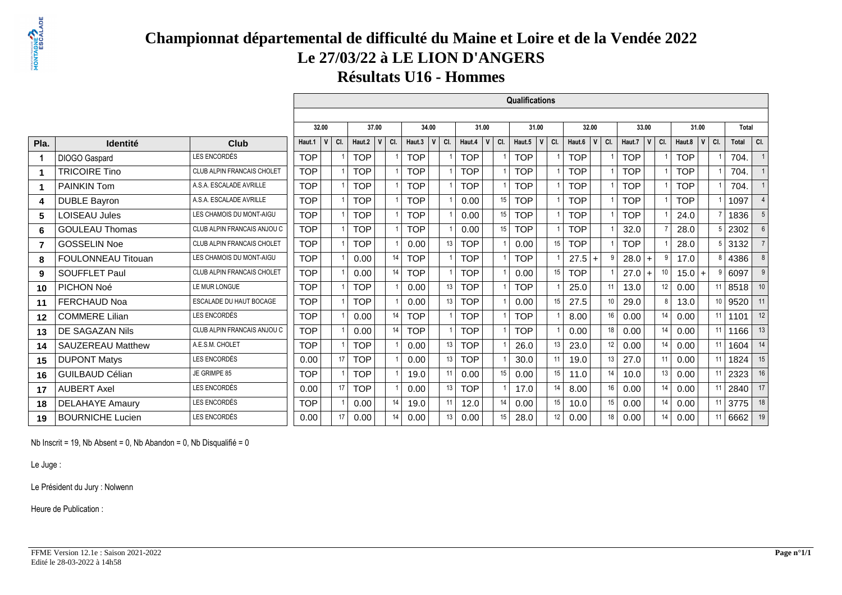# **PRONTAGNE**

# **Championnat départemental de difficulté du Maine et Loire et de la Vendée 2022Le 27/03/22 à LE LION D'ANGERS**

**Résultats U16 - Hommes**

|                |                           |                             |            |                     |            |                      |            |       |     |            |          | Qualifications |              |     |            |                    |            |              |                  |            |              |     |       |                 |
|----------------|---------------------------|-----------------------------|------------|---------------------|------------|----------------------|------------|-------|-----|------------|----------|----------------|--------------|-----|------------|--------------------|------------|--------------|------------------|------------|--------------|-----|-------|-----------------|
|                |                           |                             |            |                     |            |                      |            |       |     |            |          |                |              |     |            |                    |            |              |                  |            |              |     |       |                 |
|                |                           |                             | 32.00      |                     |            | 37.00                |            | 34.00 |     | 31.00      |          | 31.00          |              |     | 32.00      |                    |            | 33.00        |                  |            | 31.00        |     | Total |                 |
| Pla.           | <b>Identité</b>           | Club                        | Haut.1     | CI.<br>$\mathsf{v}$ | Haut.2     | $\mathbf v$<br>  CI. | Haut.3     |       | CI. | Haut.4     | CI.<br>v | Haut.5         | $\mathsf{v}$ | CI. | Haut.6     | $\mathbf v$<br>CI. | Haut.7     | $\mathbf{V}$ | CI.              | Haut.8     | $\mathsf{V}$ | CI. | Total | CI.             |
| 1              | DIOGO Gaspard             | LES ENCORDÉS                | <b>TOP</b> |                     | <b>TOP</b> |                      | <b>TOP</b> |       |     | <b>TOP</b> |          | <b>TOP</b>     |              |     | <b>TOP</b> |                    | <b>TOP</b> |              |                  | <b>TOP</b> |              |     | 704.  |                 |
| $\mathbf 1$    | <b>TRICOIRE Tino</b>      | CLUB ALPIN FRANCAIS CHOLET  | <b>TOP</b> |                     | <b>TOP</b> |                      | <b>TOP</b> |       |     | <b>TOP</b> |          | <b>TOP</b>     |              |     | <b>TOP</b> |                    | <b>TOP</b> |              |                  | <b>TOP</b> |              |     | 704.  |                 |
| 1.             | <b>PAINKIN Tom</b>        | A.S.A. ESCALADE AVRILLE     | <b>TOP</b> |                     | <b>TOP</b> |                      | <b>TOP</b> |       |     | <b>TOP</b> |          | <b>TOP</b>     |              |     | <b>TOP</b> |                    | <b>TOP</b> |              |                  | <b>TOP</b> |              |     | 704.  |                 |
| 4              | <b>DUBLE Bayron</b>       | A.S.A. ESCALADE AVRILLE     | <b>TOP</b> |                     | <b>TOP</b> |                      | <b>TOP</b> |       |     | 0.00       | 15       | <b>TOP</b>     |              |     | <b>TOP</b> |                    | <b>TOP</b> |              |                  | <b>TOP</b> |              |     | 1097  | $\overline{4}$  |
| 5              | <b>LOISEAU Jules</b>      | LES CHAMOIS DU MONT-AIGU    | <b>TOP</b> |                     | <b>TOP</b> |                      | <b>TOP</b> |       |     | 0.00       | 15       | <b>TOP</b>     |              |     | <b>TOP</b> |                    | <b>TOP</b> |              |                  | 24.0       |              |     | 1836  | 5               |
| 6              | <b>GOULEAU Thomas</b>     | CLUB ALPIN FRANCAIS ANJOU C | <b>TOP</b> |                     | <b>TOP</b> |                      | <b>TOP</b> |       |     | 0.00       | 15       | <b>TOP</b>     |              |     | <b>TOP</b> |                    | 32.0       |              |                  | 28.0       |              |     | 2302  | $6\overline{6}$ |
| $\overline{7}$ | <b>GOSSELIN Noe</b>       | CLUB ALPIN FRANCAIS CHOLET  | <b>TOP</b> |                     | <b>TOP</b> |                      | 0.00       |       | 13  | <b>TOP</b> |          | 0.00           |              | 15  | <b>TOP</b> |                    | <b>TOP</b> |              |                  | 28.0       |              | 5   | 3132  | $\overline{7}$  |
| 8              | <b>FOULONNEAU Titouan</b> | LES CHAMOIS DU MONT-AIGU    | <b>TOP</b> |                     | 0.00       | 14                   | <b>TOP</b> |       |     | <b>TOP</b> |          | <b>TOP</b>     |              |     | 27.5       | $+$                |            | $28.0 +$     | 9                | 17.0       |              | 8   | 4386  | 8               |
| 9              | <b>SOUFFLET Paul</b>      | CLUB ALPIN FRANCAIS CHOLET  | <b>TOP</b> |                     | 0.00       | 14                   | <b>TOP</b> |       |     | <b>TOP</b> |          | 0.00           |              | 15  | <b>TOP</b> |                    | 27.0       | $\ddot{}$    | 10 <sup>°</sup>  | $15.0 +$   |              | g   | 6097  | 9               |
| 10             | PICHON Noé                | LE MUR LONGUE               | <b>TOP</b> |                     | <b>TOP</b> |                      | 0.00       |       | 13  | <b>TOP</b> |          | <b>TOP</b>     |              |     | 25.0       | 11                 | 13.0       |              | 12 <sup>12</sup> | 0.00       |              | 11  | 8518  | 10              |
| 11             | <b>FERCHAUD Noa</b>       | ESCALADE DU HAUT BOCAGE     | <b>TOP</b> |                     | <b>TOP</b> |                      | 0.00       |       | 13  | <b>TOP</b> |          | 0.00           |              | 15  | 27.5       | 10 <sup>1</sup>    | 29.0       |              | 8                | 13.0       |              | 10  | 9520  | 11              |
| 12             | <b>COMMERE Lilian</b>     | LES ENCORDÉS                | <b>TOP</b> |                     | 0.00       | 14                   | <b>TOP</b> |       |     | <b>TOP</b> |          | <b>TOP</b>     |              |     | 8.00       | 16                 | 0.00       |              | 14               | 0.00       |              | 11  | 1101  | 12              |
| 13             | DE SAGAZAN Nils           | CLUB ALPIN FRANCAIS ANJOU C | <b>TOP</b> |                     | 0.00       | 14                   | <b>TOP</b> |       |     | <b>TOP</b> |          | <b>TOP</b>     |              |     | 0.00       | 18                 | 0.00       |              | 14               | 0.00       |              | 11  | 1166  | 13              |
| 14             | <b>SAUZEREAU Matthew</b>  | A.E.S.M. CHOLET             | <b>TOP</b> |                     | <b>TOP</b> |                      | 0.00       |       | 13  | <b>TOP</b> |          | 26.0           |              | 13  | 23.0       | 12                 | 0.00       |              | 14               | 0.00       |              | 11  | 1604  | 14              |
| 15             | <b>DUPONT Matys</b>       | LES ENCORDÉS                | 0.00       | 17                  | <b>TOP</b> |                      | 0.00       |       | 13  | <b>TOP</b> |          | 30.0           |              | 11  | 19.0       | 13                 | 27.0       |              | 11               | 0.00       |              | 11  | 1824  | 15              |
| 16             | <b>GUILBAUD Célian</b>    | JE GRIMPE 85                | <b>TOP</b> |                     | <b>TOP</b> |                      | 19.0       |       | 11  | 0.00       | 15       | 0.00           |              | 15  | 11.0       | 14                 | 10.0       |              | 13               | 0.00       |              | 11  | 2323  | 16              |
| 17             | <b>AUBERT Axel</b>        | LES ENCORDÉS                | 0.00       | 17                  | <b>TOP</b> |                      | 0.00       |       | 13  | <b>TOP</b> |          | 17.0           |              | 14  | 8.00       | 16                 | 0.00       |              | 14               | 0.00       |              | 11  | 2840  | 17              |
| 18             | <b>DELAHAYE Amaury</b>    | LES ENCORDÉS                | <b>TOP</b> |                     | 0.00       | 14                   | 19.0       |       | 11  | 12.0       | 14       | 0.00           |              | 15  | 10.0       | 15                 | 0.00       |              | 14               | 0.00       |              | 11  | 3775  | 18              |
| 19             | <b>BOURNICHE Lucien</b>   | LES ENCORDÉS                | 0.00       | 17                  | 0.00       | 14                   | 0.00       |       | 13  | 0.00       | 15       | 28.0           |              | 12  | 0.00       | 18                 | 0.00       |              | 14               | 0.00       |              | 11  | 6662  | 19              |

Nb Inscrit = 19, Nb Absent = 0, Nb Abandon = 0, Nb Disqualifié = 0

Le Juge :

Le Président du Jury : Nolwenn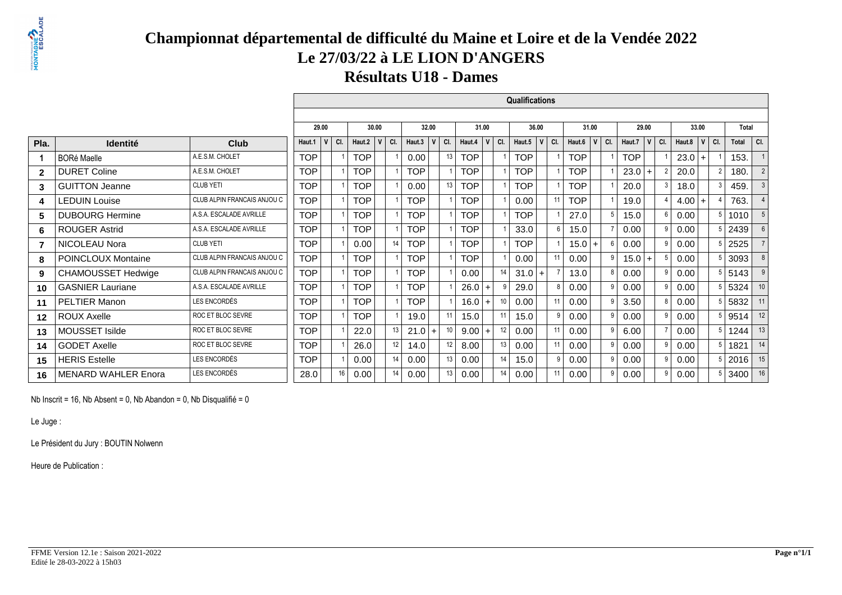# **PRONTAGNE**

## **Championnat départemental de difficulté du Maine et Loire et de la Vendée 2022Le 27/03/22 à LE LION D'ANGERS**

**Résultats U18 - Dames**

 $\Box$ 

|              |                            |                             |            |          |            |                     |            |              |     |            |                    |         | <b>Qualifications</b> |                |     |            |           |            |             |     |        |           |     |              |                |
|--------------|----------------------------|-----------------------------|------------|----------|------------|---------------------|------------|--------------|-----|------------|--------------------|---------|-----------------------|----------------|-----|------------|-----------|------------|-------------|-----|--------|-----------|-----|--------------|----------------|
|              |                            |                             |            |          |            |                     |            |              |     |            |                    |         |                       |                |     |            |           |            |             |     |        |           |     |              |                |
|              |                            |                             | 29.00      |          | 30.00      |                     |            | 32.00        |     | 31.00      |                    |         | 36.00                 |                |     | 31.00      |           | 29.00      |             |     |        | 33.00     |     | <b>Total</b> |                |
| Pla.         | <b>Identité</b>            | <b>Club</b>                 | Haut.1     | V<br>CI. | Haut.2     | $V$ $C$ $C$ $C$ $C$ | Haut.3     | $\mathsf{v}$ | CI. | Haut.4     | $V$ CI.            |         | Haut.5                | V              | CI. | Haut.6     | $ V $ CI. | Haut.7     | $\mathbf v$ | CI. | Haut.8 | V         | CI. | Total        | CI.            |
|              | <b>BORé Maelle</b>         | A.E.S.M. CHOLET             | <b>TOP</b> |          | TOP        |                     | 0.00       |              | 13  | <b>TOP</b> |                    |         | <b>TOP</b>            |                |     | <b>TOP</b> |           | <b>TOP</b> |             |     | 23.0   | $\ddot{}$ |     | 153.         |                |
| $\mathbf{z}$ | <b>DURET Coline</b>        | A.E.S.M. CHOLET             | <b>TOP</b> |          | <b>TOP</b> |                     | <b>TOP</b> |              |     | <b>TOP</b> |                    |         | <b>TOP</b>            |                |     | <b>TOP</b> |           | $23.0+$    |             |     | 20.0   |           |     | 180.         | $\overline{2}$ |
| 3            | <b>GUITTON Jeanne</b>      | <b>CLUB YETI</b>            | <b>TOP</b> |          | <b>TOP</b> |                     | 0.00       |              | 13  | <b>TOP</b> |                    |         | <b>TOP</b>            |                |     | <b>TOP</b> |           | 20.0       |             | 3   | 18.0   |           |     | 459.         | $\mathbf{3}$   |
| 4            | <b>LEDUIN Louise</b>       | CLUB ALPIN FRANCAIS ANJOU C | <b>TOP</b> |          | <b>TOP</b> |                     | <b>TOP</b> |              |     | <b>TOP</b> |                    |         | 0.00                  |                | 11  | <b>TOP</b> |           | 19.0       |             |     | 4.00   | $\div$    |     | 763.         | $\overline{4}$ |
| 5            | <b>DUBOURG Hermine</b>     | A.S.A. ESCALADE AVRILLE     | <b>TOP</b> |          | <b>TOP</b> |                     | <b>TOP</b> |              |     | <b>TOP</b> |                    |         | <b>TOP</b>            |                |     | 27.0       |           | 15.0       |             |     | 0.00   |           |     | 1010         | 5              |
| 6.           | <b>ROUGER Astrid</b>       | A.S.A. ESCALADE AVRILLE     | <b>TOP</b> |          | <b>TOP</b> |                     | <b>TOP</b> |              |     | <b>TOP</b> |                    |         | 33.0                  |                | 6   | 15.0       |           | 0.00       |             |     | 0.00   |           |     | 2439         | 6              |
| 7            | NICOLEAU Nora              | <b>CLUB YETI</b>            | <b>TOP</b> |          | 0.00       | 14                  | <b>TOP</b> |              |     | <b>TOP</b> |                    |         | <b>TOP</b>            |                |     | 15.0       | $+$       | 0.00       |             | 9   | 0.00   |           |     | 2525         |                |
| 8            | <b>POINCLOUX Montaine</b>  | CLUB ALPIN FRANCAIS ANJOU C | <b>TOP</b> |          | <b>TOP</b> |                     | <b>TOP</b> |              |     | <b>TOP</b> |                    |         | 0.00                  |                | 11  | 0.00       |           | $15.0 +$   |             |     | 0.00   |           |     | 3093         | 8              |
| 9            | <b>CHAMOUSSET Hedwige</b>  | CLUB ALPIN FRANCAIS ANJOU C | <b>TOP</b> |          | <b>TOP</b> |                     | <b>TOP</b> |              |     | 0.00       |                    | 14      | 31.0                  | $\overline{+}$ |     | 13.0       |           | 0.00       |             |     | 0.00   |           |     | 5143         | 9              |
| 10           | <b>GASNIER Lauriane</b>    | A.S.A. ESCALADE AVRILLE     | <b>TOP</b> |          | <b>TOP</b> |                     | <b>TOP</b> |              |     | 26.0       | $t +$ <sup>1</sup> |         | 29.0                  |                | 8   | 0.00       |           | 0.00       |             |     | 0.00   |           |     | 5324         | 10             |
| 11           | <b>PELTIER Manon</b>       | LES ENCORDÉS                | <b>TOP</b> |          | <b>TOP</b> |                     | <b>TOP</b> |              |     | 16.0       | $+$                |         | 0.00                  |                | 11  | 0.00       |           | 3.50       |             |     | 0.00   |           |     | 5832         | 11             |
| $12 \,$      | <b>ROUX Axelle</b>         | ROC ET BLOC SEVRE           | <b>TOP</b> |          | <b>TOP</b> |                     | 19.0       |              | 11  | 15.0       |                    | $-11.1$ | 15.0                  |                | 9   | 0.00       |           | 0.00       |             | 9   | 0.00   |           |     | 9514         | 12             |
| 13           | <b>MOUSSET Isilde</b>      | ROC ET BLOC SEVRE           | <b>TOP</b> |          | 22.0       | 13                  | 21.0       |              | 10  | 9.00       | $+$                | 12      | 0.00                  |                | 11  | 0.00       |           | 6.00       |             |     | 0.00   |           |     | 1244         | 13             |
| 14           | <b>GODET Axelle</b>        | ROC ET BLOC SEVRE           | <b>TOP</b> |          | 26.0       | 12                  | 14.0       |              | 12  | 8.00       |                    | 13      | 0.00                  |                | 11  | 0.00       |           | 0.00       |             | q   | 0.00   |           |     | 1821         | 14             |
| 15           | <b>HERIS Estelle</b>       | LES ENCORDÉS                | <b>TOP</b> |          | 0.00       |                     | 0.00       |              | 13  | 0.00       |                    | 14      | 15.0                  |                | 9   | 0.00       |           | 0.00       |             |     | 0.00   |           |     | 2016         | 15             |
| 16           | <b>MENARD WAHLER Enora</b> | LES ENCORDÉS                | 28.0       | 16       | 0.00       | 14                  | 0.00       |              | 13  | 0.00       |                    | 14      | 0.00                  |                | 11  | 0.00       |           | 0.00       |             | q   | 0.00   |           |     | 3400         | 16             |

Nb Inscrit = 16, Nb Absent = 0, Nb Abandon = 0, Nb Disqualifié = 0

Le Juge :

Le Président du Jury : BOUTIN Nolwenn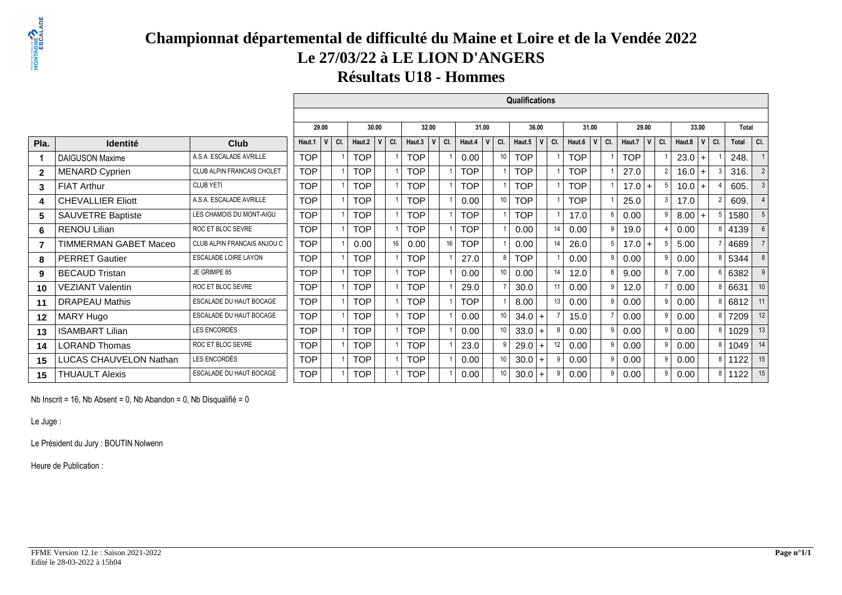## **Championnat départemental de difficulté du Maine et Loire et de la Vendée 2022Le 27/03/22 à LE LION D'ANGERS**

**Résultats U18 - Hommes**

 $\Box$ 

|              |                          |                             |            |          |            |            |            |              |     |            |             | Qualifications |          |     |            |                           |            |                |                |        |           |   |        |                 |
|--------------|--------------------------|-----------------------------|------------|----------|------------|------------|------------|--------------|-----|------------|-------------|----------------|----------|-----|------------|---------------------------|------------|----------------|----------------|--------|-----------|---|--------|-----------------|
|              |                          |                             |            |          |            |            |            |              |     |            |             |                |          |     |            |                           |            |                |                |        |           |   |        |                 |
|              |                          |                             | 29.00      |          | 30.00      |            |            | 32.00        |     | 31.00      |             | 36.00          |          |     | 31.00      |                           |            | 29.00          |                |        | 33.00     |   | Total  |                 |
| Pla.         | Identité                 | <b>Club</b>                 | Haut.1     | V<br>CI. | Haut.2     | $V$ $C$ I. | Haut.3     | $\mathsf{V}$ | CI. | Haut.4     | $V$ $ $ CI. | Haut.5         | <b>V</b> | CI. | Haut.6     | $\mathbf v$<br>$\mid$ CI. | Haut.7     | $\mathsf{v}$   | CI.            | Haut.8 | $ v $ CI. |   | Total  | CI.             |
|              | <b>DAIGUSON Maxime</b>   | A.S.A. ESCALADE AVRILLE     | <b>TOP</b> |          | <b>TOP</b> |            | <b>TOP</b> |              |     | 0.00       |             | <b>TOP</b>     |          |     | <b>TOP</b> |                           | <b>TOP</b> |                |                | 23.0   | $+$       |   | 248.   |                 |
| $\mathbf{z}$ | <b>MENARD Cyprien</b>    | CLUB ALPIN FRANCAIS CHOLET  | <b>TOP</b> |          | <b>TOP</b> |            | <b>TOP</b> |              |     | <b>TOP</b> |             | <b>TOP</b>     |          |     | <b>TOP</b> |                           | 27.0       |                | $\overline{2}$ | 16.0   | $+$       |   | 316.   | $\overline{2}$  |
| 3            | <b>FIAT Arthur</b>       | <b>CLUB YETI</b>            | <b>TOP</b> |          | <b>TOP</b> |            | <b>TOP</b> |              |     | <b>TOP</b> |             | <b>TOP</b>     |          |     | <b>TOP</b> |                           | 17.0       | $\overline{1}$ | 5              | 10.0   | $+$       |   | 605.   | 3               |
| 4            | <b>CHEVALLIER Eliott</b> | A.S.A. ESCALADE AVRILLE     | <b>TOP</b> |          | <b>TOP</b> |            | <b>TOP</b> |              |     | 0.00       |             | <b>TOP</b>     |          |     | <b>TOP</b> |                           | 25.0       |                | 3 <sup>1</sup> | 17.0   |           |   | 609.   |                 |
| 5            | SAUVETRE Baptiste        | LES CHAMOIS DU MONT-AIGU    | <b>TOP</b> |          | <b>TOP</b> |            | <b>TOP</b> |              |     | <b>TOP</b> |             | <b>TOP</b>     |          |     | 17.0       |                           | 0.00       |                | 9              | 8.00   | $+$       |   | 1580   |                 |
| 6.           | <b>RENOU Lilian</b>      | ROC ET BLOC SEVRE           | <b>TOP</b> |          | <b>TOP</b> |            | <b>TOP</b> |              |     | <b>TOP</b> |             | 0.00           |          | 14  | 0.00       |                           | 19.0       |                |                | 0.00   |           | 8 | 4139   |                 |
|              | TIMMERMAN GABET Maceo    | CLUB ALPIN FRANCAIS ANJOU C | <b>TOP</b> |          | 0.00       | 16         | 0.00       |              | 16  | <b>TOP</b> |             | 0.00           |          | 14  | 26.0       |                           | 17.0       | $\overline{1}$ |                | 5.00   |           |   | 4689   |                 |
| 8            | <b>PERRET Gautier</b>    | <b>ESCALADE LOIRE LAYON</b> | <b>TOP</b> |          | <b>TOP</b> |            | <b>TOP</b> |              |     | 27.0       |             | <b>TOP</b>     |          |     | 0.00       |                           | 0.00       |                | 9              | 0.00   |           |   | 5344   |                 |
| 9            | <b>BECAUD Tristan</b>    | JE GRIMPE 85                | <b>TOP</b> |          | <b>TOP</b> |            | <b>TOP</b> |              |     | 0.00       |             | 0.00           |          | 14  | 12.0       |                           | 9.00       |                | 8 <sup>1</sup> | 7.00   |           |   | 6 6382 |                 |
| 10           | <b>VEZIANT Valentin</b>  | ROC ET BLOC SEVRE           | <b>TOP</b> |          | <b>TOP</b> |            | <b>TOP</b> |              |     | 29.0       |             | 30.0           |          | 11  | 0.00       |                           | 12.0       |                |                | 0.00   |           |   | 8 6631 | 10 <sup>1</sup> |
| 11           | <b>DRAPEAU Mathis</b>    | ESCALADE DU HAUT BOCAGE     | <b>TOP</b> |          | <b>TOP</b> |            | <b>TOP</b> |              |     | <b>TOP</b> |             | 8.00           |          | 13  | 0.00       |                           | 0.00       |                | 9              | 0.00   |           | 8 | 6812   | 11              |
| $12 \,$      | MARY Hugo                | ESCALADE DU HAUT BOCAGE     | <b>TOP</b> |          | <b>TOP</b> |            | <b>TOP</b> |              |     | 0.00       |             | $34.0 +$       |          |     | 15.0       |                           | 0.00       |                | 9              | 0.00   |           |   | 7209   | 12              |
| 13           | <b>ISAMBART Lilian</b>   | LES ENCORDÉS                | <b>TOP</b> |          | <b>TOP</b> |            | <b>TOP</b> |              |     | 0.00       |             | 33.0           | $+$      |     | 0.00       |                           | 0.00       |                | 9              | 0.00   |           |   | 8 1029 | 13              |
| 14           | <b>LORAND Thomas</b>     | ROC ET BLOC SEVRE           | <b>TOP</b> |          | <b>TOP</b> |            | <b>TOP</b> |              |     | 23.0       |             | 29.0           |          | 12  | 0.00       |                           | 0.00       |                | 9              | 0.00   |           | 8 | 1049   | 14              |
| 15           | LUCAS CHAUVELON Nathan   | LES ENCORDÉS                | <b>TOP</b> |          | <b>TOP</b> |            | <b>TOP</b> |              |     | 0.00       |             | 30.0           |          | 9   | 0.00       |                           | 0.00       |                | 9              | 0.00   |           | 8 | 1122   | 15              |
| 15           | <b>THUAULT Alexis</b>    | ESCALADE DU HAUT BOCAGE     | <b>TOP</b> |          | <b>TOP</b> |            | <b>TOP</b> |              |     | 0.00       |             | 30.0           | $+$      |     | 0.00       |                           | 0.00       |                | 9              | 0.00   |           |   | 8 1122 | 15              |

Nb Inscrit = 16, Nb Absent = 0, Nb Abandon = 0, Nb Disqualifié = 0

Le Juge :

Le Président du Jury : BOUTIN Nolwenn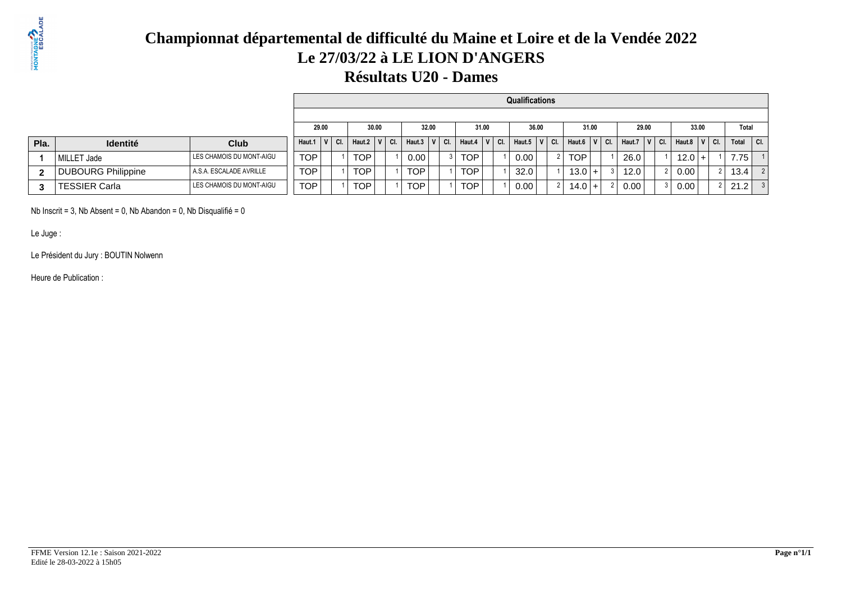

# **Championnat départemental de difficulté du Maine et Loire et de la Vendée 2022Le 27/03/22 à LE LION D'ANGERS**

### **Résultats U20 - Dames**

|              |                           |                          |                  |  |            |         |              |       |     |            |         | <b>Qualifications</b> |     |              |       |     |                   |         |                   |            |                   |         |
|--------------|---------------------------|--------------------------|------------------|--|------------|---------|--------------|-------|-----|------------|---------|-----------------------|-----|--------------|-------|-----|-------------------|---------|-------------------|------------|-------------------|---------|
|              |                           |                          |                  |  |            |         |              |       |     |            |         |                       |     |              |       |     |                   |         |                   |            |                   |         |
|              |                           |                          | 29.00            |  | 30.00      |         |              | 32.00 |     | 31.00      |         | 36.00                 |     |              | 31.00 |     | 29.00             |         | 33.00             |            | Total             |         |
| Pla.         | <b>Identité</b>           | <b>Club</b>              | Haut.1 $ V $ Cl. |  | Haut.2     | $V$ CI. | Haut.3 $ V $ |       | CI. | Haut.4     | $V$ CI. | Haut.5 $ V $          | CI. | Haut.6 $ V $ |       | CI. | Haut.7            | $V$ CI. | Haut.8            | $\top$ CI. | Total             | $ $ CI. |
|              | MILLET Jade               | LES CHAMOIS DU MONT-AIGU | <b>TOP</b>       |  | TOP.       |         | 0.001        |       |     | TOP        |         | 0.00                  |     | <b>TOP</b>   |       |     | 26.0              |         | 12.0 <sub>1</sub> |            | 7.75 <sub>1</sub> |         |
| $\mathbf{2}$ | <b>DUBOURG Philippine</b> | A.S.A. ESCALADE AVRILLE  | TOP.             |  | <b>TOP</b> |         | TOP          |       |     | TOP        |         | 32.0                  |     | $13.0 +$     |       |     | 12.0              |         | 0.00,             |            | 13.4              |         |
| 3            | TESSIER Carla             | LES CHAMOIS DU MONT-AIGU | <b>TOP</b>       |  | <b>TOP</b> |         | TOP          |       |     | <b>TOP</b> |         | 0.00                  |     | $14.0 +$     |       |     | 0.00 <sub>1</sub> |         | 0.00              |            | 21.2              |         |

Nb Inscrit = 3, Nb Absent = 0, Nb Abandon = 0, Nb Disqualifié = 0

Le Juge :

Le Président du Jury : BOUTIN Nolwenn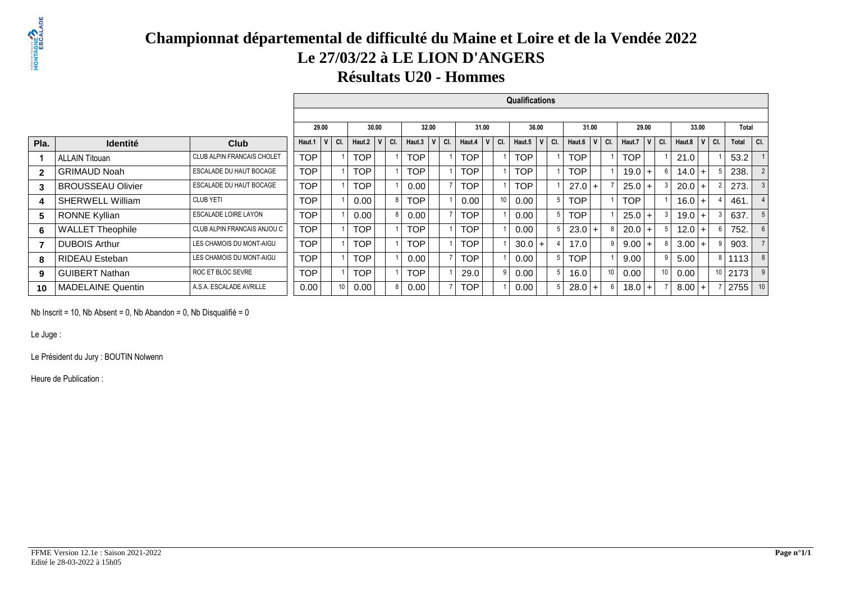## **Championnat départemental de difficulté du Maine et Loire et de la Vendée 2022Le 27/03/22 à LE LION D'ANGERS**

#### **Résultats U20 - Hommes**

|                |                          |                             |            |                     |            |         |            |       |     |            |   |     | <b>Qualifications</b> |                  |       |                  |                 |                  |           |    |              |                |
|----------------|--------------------------|-----------------------------|------------|---------------------|------------|---------|------------|-------|-----|------------|---|-----|-----------------------|------------------|-------|------------------|-----------------|------------------|-----------|----|--------------|----------------|
|                |                          |                             |            |                     |            |         |            |       |     |            |   |     |                       |                  |       |                  |                 |                  |           |    |              |                |
|                |                          |                             |            | 29.00               |            | 30.00   |            | 32.00 |     | 31.00      |   |     | 36.00                 |                  | 31.00 | 29.00            |                 |                  | 33.00     |    | <b>Total</b> |                |
| Pla.           | <b>Identité</b>          | <b>Club</b>                 | Haut.1     | $\mathsf{v}$<br>CI. | Haut. $2$  | $V$ CI. | Haut.3     | V     | CI. | Haut.4     | V | CI. | Haut.5 $ V $ Cl.      | Haut.6 $ V $ Cl. |       | Haut.7 $ V $ Cl. |                 | Haut.8 $ V $ Cl. |           |    | Total        | $ $ CI.        |
|                | <b>ALLAIN Titouan</b>    | CLUB ALPIN FRANCAIS CHOLET  | <b>TOP</b> |                     | <b>TOP</b> |         | <b>TOP</b> |       |     | <b>TOP</b> |   |     | <b>TOP</b>            | <b>TOP</b>       |       | <b>TOP</b>       |                 | 21.0             |           |    | 53.2         |                |
| $\overline{2}$ | <b>GRIMAUD Noah</b>      | ESCALADE DU HAUT BOCAGE     | <b>TOP</b> |                     | <b>TOP</b> |         | <b>TOP</b> |       |     | <b>TOP</b> |   |     | <b>TOP</b>            | TOP              |       | $19.0 +$         |                 | $14.0 +$         |           |    | 238.         |                |
| 3              | <b>BROUSSEAU Olivier</b> | ESCALADE DU HAUT BOCAGE     | <b>TOP</b> |                     | <b>TOP</b> |         | 0.00       |       |     | <b>TOP</b> |   |     | <b>TOP</b>            | $27.0+$          |       | $25.0+$          |                 | 20.0             | $\ddot{}$ |    | 273.         | $\mathbf{3}$   |
| 4              | <b>SHERWELL William</b>  | CLUB YETI                   | <b>TOP</b> |                     | 0.00       |         | <b>TOP</b> |       |     | 0.00       |   |     | 0.00                  | TOP              |       | TOP              |                 | $16.0 +$         |           |    | 461.         | $\overline{4}$ |
| 5              | <b>RONNE Kyllian</b>     | <b>ESCALADE LOIRE LAYON</b> | <b>TOP</b> |                     | 0.00       |         | 0.00       |       |     | <b>TOP</b> |   |     | 0.00                  | TOP              |       | $25.0+$          |                 | $19.0 +$         |           |    | 637.         | 5              |
| 6              | <b>WALLET Theophile</b>  | CLUB ALPIN FRANCAIS ANJOU C | <b>TOP</b> |                     | <b>TOP</b> |         | TOP        |       |     | <b>TOP</b> |   |     | 0.00                  | $23.0 +$         |       | $20.0 +$         |                 | 12.0             | $+$       |    | 752.         | 6              |
| $\overline{7}$ | <b>DUBOIS Arthur</b>     | LES CHAMOIS DU MONT-AIGU    | <b>TOP</b> |                     | <b>TOP</b> |         | TOP        |       |     | <b>TOP</b> |   |     | $30.0 +$              | 17.0             |       | $9.00 +$         |                 | $3.00 +$         |           |    | 903.         |                |
| 8              | RIDEAU Esteban           | LES CHAMOIS DU MONT-AIGU    | <b>TOP</b> |                     | <b>TOP</b> |         | 0.00       |       |     | TOP        |   |     | 0.00                  | TOP              |       | 9.00             |                 | 5.00             |           | 8  | 1113         | 8              |
| 9              | <b>GUIBERT Nathan</b>    | ROC ET BLOC SEVRE           | <b>TOP</b> |                     | TOP        |         | TOP        |       |     | 29.0       |   |     | 0.00                  | 16.0             |       | 0.00             | 10 <sup>1</sup> | 0.00             |           | 10 | 2173         | 9 <sup>1</sup> |
| 10             | <b>MADELAINE Quentin</b> | A.S.A. ESCALADE AVRILLE     | 0.00       | 10                  | 0.00       |         | 0.00       |       |     | <b>TOP</b> |   |     | 0.00                  | $28.0 +$         |       | $18.0 +$         |                 | $8.00 +$         |           |    | 2755         | 10             |

Nb Inscrit = 10, Nb Absent = 0, Nb Abandon = 0, Nb Disqualifié = 0

Le Juge :

Le Président du Jury : BOUTIN Nolwenn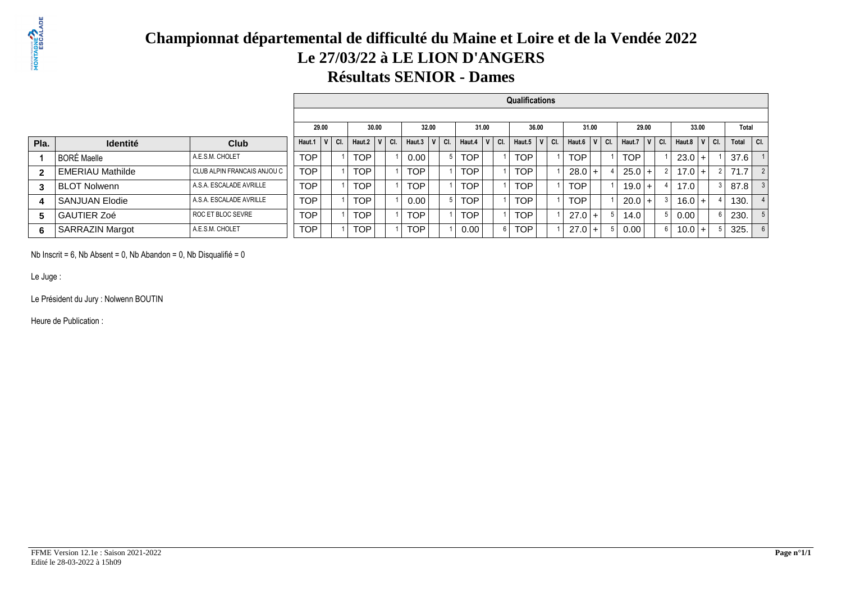## **Championnat départemental de difficulté du Maine et Loire et de la Vendée 2022Le 27/03/22 à LE LION D'ANGERSRésultats SENIOR - Dames**

|      |                         |                               |              |     |            |                              |            |              |     |            |       |     | Qualifications |     |            |           |              |       |     |          |           |       |         |
|------|-------------------------|-------------------------------|--------------|-----|------------|------------------------------|------------|--------------|-----|------------|-------|-----|----------------|-----|------------|-----------|--------------|-------|-----|----------|-----------|-------|---------|
|      |                         |                               |              |     |            |                              |            |              |     |            |       |     |                |     |            |           |              |       |     |          |           |       |         |
|      |                         |                               | 29.00        |     | 30.00      |                              |            | 32.00        |     |            | 31.00 |     | 36.00          |     | 31.00      |           |              | 29.00 |     |          | 33.00     | Total |         |
| Pla. | <b>Identité</b>         | Club                          | Haut.1 $ V $ | CI. | Haut.2   V | $\overline{\phantom{a}}$ CI. | Haut.3     | $\mathbf{u}$ | CI. | Haut.4     | V     | CI. | Haut.5         | CI. | Haut.6     | $ V $ CI. | Haut.7 $ V $ |       | CI. | Haut.8   | $V$ CI.   | Total | $ $ CI. |
|      | l BORÉ Maelle           | A.E.S.M. CHOLET               | TOP.         |     | <b>TOP</b> |                              | 0.00       |              |     | <b>TOP</b> |       |     | <b>TOP</b>     |     | TOP        |           | <b>TOP</b>   |       |     | 23.0     |           | 37.6  |         |
| 2    | <b>EMERIAU Mathilde</b> | I CLUB ALPIN FRANCAIS ANJOU C | <b>TOP</b>   |     | <b>TOP</b> |                              | <b>TOP</b> |              |     | <b>TOP</b> |       |     | <b>TOP</b>     |     | 28.0       |           | $25.0+$      |       |     | $17.0 +$ |           | 71.7  | 2       |
|      | <b>BLOT Nolwenn</b>     | A.S.A. ESCALADE AVRILLE       | TOP.         |     | <b>TOP</b> |                              | <b>TOP</b> |              |     | <b>TOP</b> |       |     | <b>TOP</b>     |     | TOP        |           | $19.0 +$     |       |     | 17.0     |           | 87.8  |         |
| 4    | l SANJUAN Elodie        | A.S.A. ESCALADE AVRILLE       | TOP.         |     | <b>TOP</b> |                              | 0.00       |              |     | <b>TOP</b> |       |     | <b>TOP</b>     |     | <b>TOP</b> |           | $20.0$ +     |       |     | $16.0 +$ |           | 130.  |         |
| 5    | <b>GAUTIER Zoé</b>      | ROC ET BLOC SEVRE             | TOP          |     | <b>TOP</b> |                              | <b>TOP</b> |              |     | <b>TOP</b> |       |     | <b>TOP</b>     |     | $27.0+$    |           | 14.0         |       |     | 0.00     |           | 230.  |         |
| 6    | SARRAZIN Margot         | A.E.S.M. CHOLET               | <b>TOP</b>   |     | <b>TOP</b> |                              | <b>TOP</b> |              |     | 0.00       |       |     | <b>TOP</b>     |     | $27.0+$    |           | 0.00         |       |     | 10.0     | $\ddot{}$ | 325.  |         |

Nb Inscrit = 6, Nb Absent = 0, Nb Abandon = 0, Nb Disqualifié = 0

Le Juge :

Le Président du Jury : Nolwenn BOUTIN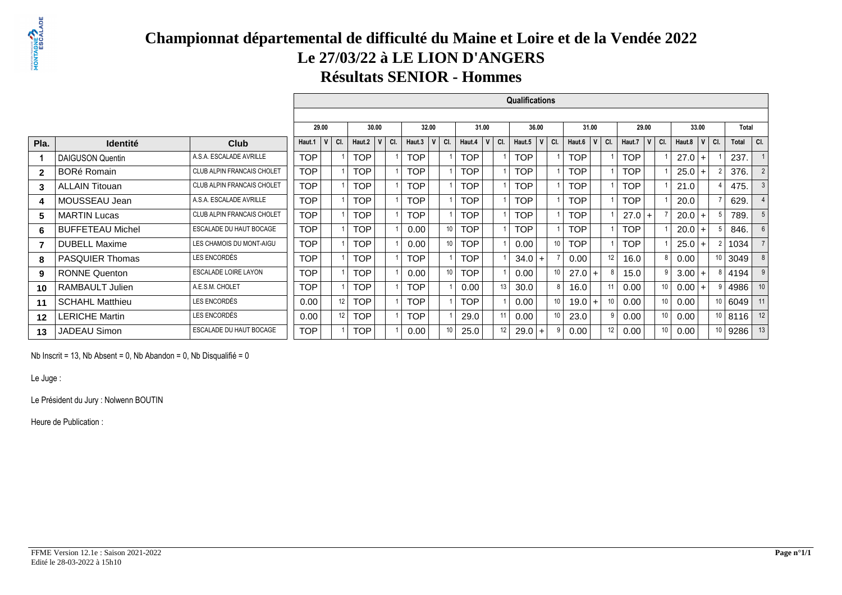## **Championnat départemental de difficulté du Maine et Loire et de la Vendée 2022Le 27/03/22 à LE LION D'ANGERSRésultats SENIOR - Hommes**

|                |                         |                                   |            |       |                  |       |     | <b>Qualifications</b><br>32.00<br>31.00<br>36.00<br>31.00<br>29.00<br>33.00<br>Total<br>$ $ CI.<br> V <br>V<br>$V$ CI.<br>CI.<br>Haut.7<br>Haut.3<br>$\mathsf{V}$<br>Haut.5<br>CI.<br>Haut.6<br>CI.<br>Haut.8<br>Total<br>CI.<br>CI.<br> v <br>Haut.4<br><b>TOP</b><br><b>TOP</b><br><b>TOP</b><br><b>TOP</b><br><b>TOP</b><br>27.0<br>237.<br>$\ddot{}$<br><b>TOP</b><br><b>TOP</b><br><b>TOP</b><br><b>TOP</b><br>376.<br><b>TOP</b><br>25.0<br>$\ddot{}$<br><b>TOP</b><br><b>TOP</b><br><b>TOP</b><br><b>TOP</b><br><b>TOP</b><br>475.<br>21.0<br><b>TOP</b><br><b>TOP</b><br><b>TOP</b><br>TOP<br><b>TOP</b><br>629.<br>20.0<br><b>TOP</b><br><b>TOP</b><br><b>TOP</b><br><b>TOP</b><br>$27.0 +$<br>789.<br>20.0<br>$\ddot{}$<br>10<br><b>TOP</b><br><b>TOP</b><br><b>TOP</b><br>TOP<br>846.<br>0.00<br>20.0<br>$\pm$<br>10<br>10<br><b>TOP</b><br><b>TOP</b><br><b>TOP</b><br>0.00<br>1034<br>0.00<br>25.0<br><b>TOP</b><br>12<br>3049<br><b>TOP</b><br>16.0<br>0.00<br>8<br>0.00<br>$34.0$ +<br>10<br><b>TOP</b><br>10 <sup>°</sup><br>9<br>0.00<br>0.00<br>27.0<br>15.0<br>4194<br>3.00<br>$\ddot{}$<br>11<br>10 <sup>1</sup><br>TOP<br>8<br>16.0<br>4986<br>10 <sup>10</sup><br>0.00<br>13<br>30.0<br>0.00<br>$0.00$ + |  |    |      |  |  |          |  |                 |      |           |    |      |                 |      |    |      |    |
|----------------|-------------------------|-----------------------------------|------------|-------|------------------|-------|-----|--------------------------------------------------------------------------------------------------------------------------------------------------------------------------------------------------------------------------------------------------------------------------------------------------------------------------------------------------------------------------------------------------------------------------------------------------------------------------------------------------------------------------------------------------------------------------------------------------------------------------------------------------------------------------------------------------------------------------------------------------------------------------------------------------------------------------------------------------------------------------------------------------------------------------------------------------------------------------------------------------------------------------------------------------------------------------------------------------------------------------------------------------------------------------------------------------------------------------------|--|----|------|--|--|----------|--|-----------------|------|-----------|----|------|-----------------|------|----|------|----|
|                |                         |                                   |            | 29.00 |                  | 30.00 |     |                                                                                                                                                                                                                                                                                                                                                                                                                                                                                                                                                                                                                                                                                                                                                                                                                                                                                                                                                                                                                                                                                                                                                                                                                                |  |    |      |  |  |          |  |                 |      |           |    |      |                 |      |    |      |    |
| Pla.           | <b>Identité</b>         | Club                              | Haut.1     | V     | CI.<br>Haut.2    | V     | CI. |                                                                                                                                                                                                                                                                                                                                                                                                                                                                                                                                                                                                                                                                                                                                                                                                                                                                                                                                                                                                                                                                                                                                                                                                                                |  |    |      |  |  |          |  |                 |      |           |    |      |                 |      |    |      |    |
|                | <b>DAIGUSON Quentin</b> | A.S.A. ESCALADE AVRILLE           | <b>TOP</b> |       | <b>TOP</b>       |       |     |                                                                                                                                                                                                                                                                                                                                                                                                                                                                                                                                                                                                                                                                                                                                                                                                                                                                                                                                                                                                                                                                                                                                                                                                                                |  |    |      |  |  |          |  |                 |      |           |    |      |                 |      |    |      |    |
| $\mathbf{2}$   | <b>BORé Romain</b>      | CLUB ALPIN FRANCAIS CHOLET        | <b>TOP</b> |       | <b>TOP</b>       |       |     |                                                                                                                                                                                                                                                                                                                                                                                                                                                                                                                                                                                                                                                                                                                                                                                                                                                                                                                                                                                                                                                                                                                                                                                                                                |  |    |      |  |  |          |  |                 |      |           |    |      |                 |      |    |      |    |
| 3              | <b>ALLAIN Titouan</b>   | <b>CLUB ALPIN FRANCAIS CHOLET</b> | <b>TOP</b> |       | <b>TOP</b>       |       |     |                                                                                                                                                                                                                                                                                                                                                                                                                                                                                                                                                                                                                                                                                                                                                                                                                                                                                                                                                                                                                                                                                                                                                                                                                                |  |    |      |  |  |          |  |                 |      |           |    |      |                 |      |    |      |    |
| 4              | MOUSSEAU Jean           | A.S.A. ESCALADE AVRILLE           | <b>TOP</b> |       | <b>TOP</b>       |       |     |                                                                                                                                                                                                                                                                                                                                                                                                                                                                                                                                                                                                                                                                                                                                                                                                                                                                                                                                                                                                                                                                                                                                                                                                                                |  |    |      |  |  |          |  |                 |      |           |    |      |                 |      |    |      |    |
| 5              | <b>MARTIN Lucas</b>     | <b>CLUB ALPIN FRANCAIS CHOLET</b> | <b>TOP</b> |       | <b>TOP</b>       |       |     |                                                                                                                                                                                                                                                                                                                                                                                                                                                                                                                                                                                                                                                                                                                                                                                                                                                                                                                                                                                                                                                                                                                                                                                                                                |  |    |      |  |  |          |  |                 |      |           |    |      |                 |      |    |      |    |
| 6              | <b>BUFFETEAU Michel</b> | ESCALADE DU HAUT BOCAGE           | <b>TOP</b> |       | <b>TOP</b>       |       |     |                                                                                                                                                                                                                                                                                                                                                                                                                                                                                                                                                                                                                                                                                                                                                                                                                                                                                                                                                                                                                                                                                                                                                                                                                                |  |    |      |  |  |          |  |                 |      |           |    |      |                 |      |    |      |    |
| $\overline{7}$ | <b>DUBELL Maxime</b>    | LES CHAMOIS DU MONT-AIGU          | <b>TOP</b> |       | <b>TOP</b>       |       |     |                                                                                                                                                                                                                                                                                                                                                                                                                                                                                                                                                                                                                                                                                                                                                                                                                                                                                                                                                                                                                                                                                                                                                                                                                                |  |    |      |  |  |          |  |                 |      |           |    |      |                 |      |    |      |    |
| 8              | <b>PASQUIER Thomas</b>  | LES ENCORDÉS                      | <b>TOP</b> |       | <b>TOP</b>       |       |     |                                                                                                                                                                                                                                                                                                                                                                                                                                                                                                                                                                                                                                                                                                                                                                                                                                                                                                                                                                                                                                                                                                                                                                                                                                |  |    |      |  |  |          |  |                 |      |           |    |      |                 |      |    |      |    |
| 9              | <b>RONNE Quenton</b>    | <b>ESCALADE LOIRE LAYON</b>       | <b>TOP</b> |       | <b>TOP</b>       |       |     |                                                                                                                                                                                                                                                                                                                                                                                                                                                                                                                                                                                                                                                                                                                                                                                                                                                                                                                                                                                                                                                                                                                                                                                                                                |  |    |      |  |  |          |  |                 |      |           |    |      |                 |      |    |      |    |
| 10             | RAMBAULT Julien         | A.E.S.M. CHOLET                   | <b>TOP</b> |       | <b>TOP</b>       |       |     |                                                                                                                                                                                                                                                                                                                                                                                                                                                                                                                                                                                                                                                                                                                                                                                                                                                                                                                                                                                                                                                                                                                                                                                                                                |  |    |      |  |  |          |  |                 |      |           |    |      |                 |      |    |      |    |
| 11             | <b>SCHAHL Matthieu</b>  | LES ENCORDÉS                      | 0.00       |       | 12<br><b>TOP</b> |       |     | TOP                                                                                                                                                                                                                                                                                                                                                                                                                                                                                                                                                                                                                                                                                                                                                                                                                                                                                                                                                                                                                                                                                                                                                                                                                            |  |    | TOP  |  |  | 0.00     |  | 10 <sup>°</sup> | 19.0 | $\ddot{}$ |    | 0.00 | 10 <sup>1</sup> | 0.00 | 10 | 6049 | 11 |
| $12 \,$        | <b>LERICHE Martin</b>   | LES ENCORDÉS                      | 0.00       |       | 12<br>TOP        |       |     | <b>TOP</b>                                                                                                                                                                                                                                                                                                                                                                                                                                                                                                                                                                                                                                                                                                                                                                                                                                                                                                                                                                                                                                                                                                                                                                                                                     |  |    | 29.0 |  |  | 0.00     |  | 10              | 23.0 |           |    | 0.00 | 10 <sup>°</sup> | 0.00 | 10 | 8116 | 12 |
| 13             | <b>JADEAU Simon</b>     | ESCALADE DU HAUT BOCAGE           | <b>TOP</b> |       | <b>TOP</b>       |       |     | 0.00                                                                                                                                                                                                                                                                                                                                                                                                                                                                                                                                                                                                                                                                                                                                                                                                                                                                                                                                                                                                                                                                                                                                                                                                                           |  | 10 | 25.0 |  |  | $29.0 +$ |  |                 | 0.00 |           | 12 | 0.00 | 10 <sup>°</sup> | 0.00 | 10 | 9286 | 13 |

Nb Inscrit = 13, Nb Absent = 0, Nb Abandon = 0, Nb Disqualifié = 0

Le Juge :

Le Président du Jury : Nolwenn BOUTIN